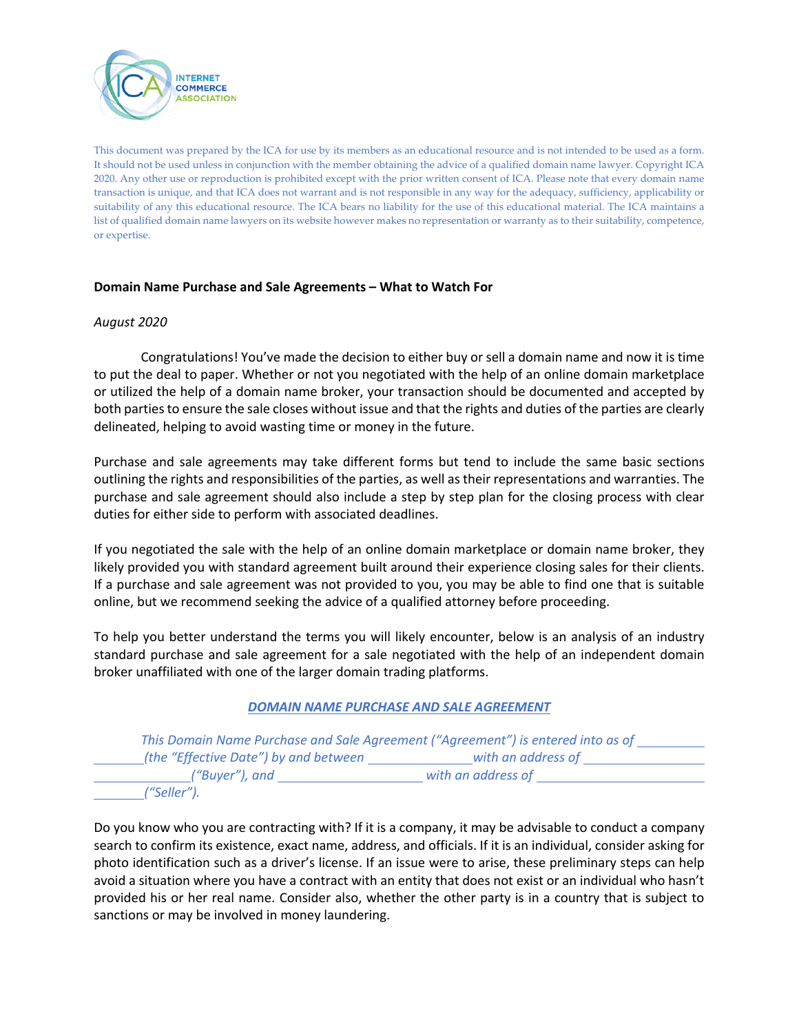

This document was prepared by the ICA for use by its members as an educational resource and is not intended to be used as a form. It should not be used unless in conjunction with the member obtaining the advice of a qualified domain name lawyer. Copyright ICA 2020. Any other use or reproduction is prohibited except with the prior written consent of ICA. Please note that every domain name transaction is unique, and that ICA does not warrant and is not responsible in any way for the adequacy, sufficiency, applicability or suitability of any this educational resource. The ICA bears no liability for the use of this educational material. The ICA maintains a list of qualified domain name lawyers on its website however makes no representation or warranty as to their suitability, competence, or expertise.

## **Domain Name Purchase and Sale Agreements – What to Watch For**

### *August 2020*

Congratulations! You've made the decision to either buy or sell a domain name and now it is time to put the deal to paper. Whether or not you negotiated with the help of an online domain marketplace or utilized the help of a domain name broker, your transaction should be documented and accepted by both parties to ensure the sale closes without issue and that the rights and duties of the parties are clearly delineated, helping to avoid wasting time or money in the future.

Purchase and sale agreements may take different forms but tend to include the same basic sections outlining the rights and responsibilities of the parties, as well as their representations and warranties. The purchase and sale agreement should also include a step by step plan for the closing process with clear duties for either side to perform with associated deadlines.

If you negotiated the sale with the help of an online domain marketplace or domain name broker, they likely provided you with standard agreement built around their experience closing sales for their clients. If a purchase and sale agreement was not provided to you, you may be able to find one that is suitable online, but we recommend seeking the advice of a qualified attorney before proceeding.

To help you better understand the terms you will likely encounter, below is an analysis of an industry standard purchase and sale agreement for a sale negotiated with the help of an independent domain broker unaffiliated with one of the larger domain trading platforms.

### *DOMAIN NAME PURCHASE AND SALE AGREEMENT*

|                                       | This Domain Name Purchase and Sale Agreement ("Agreement") is entered into as of |
|---------------------------------------|----------------------------------------------------------------------------------|
| (the "Effective Date") by and between | with an address of                                                               |
| ("Buyer"), and                        | with an address of                                                               |
| '"Seller").                           |                                                                                  |

Do you know who you are contracting with? If it is a company, it may be advisable to conduct a company search to confirm its existence, exact name, address, and officials. If it is an individual, consider asking for photo identification such as a driver's license. If an issue were to arise, these preliminary steps can help avoid a situation where you have a contract with an entity that does not exist or an individual who hasn't provided his or her real name. Consider also, whether the other party is in a country that is subject to sanctions or may be involved in money laundering.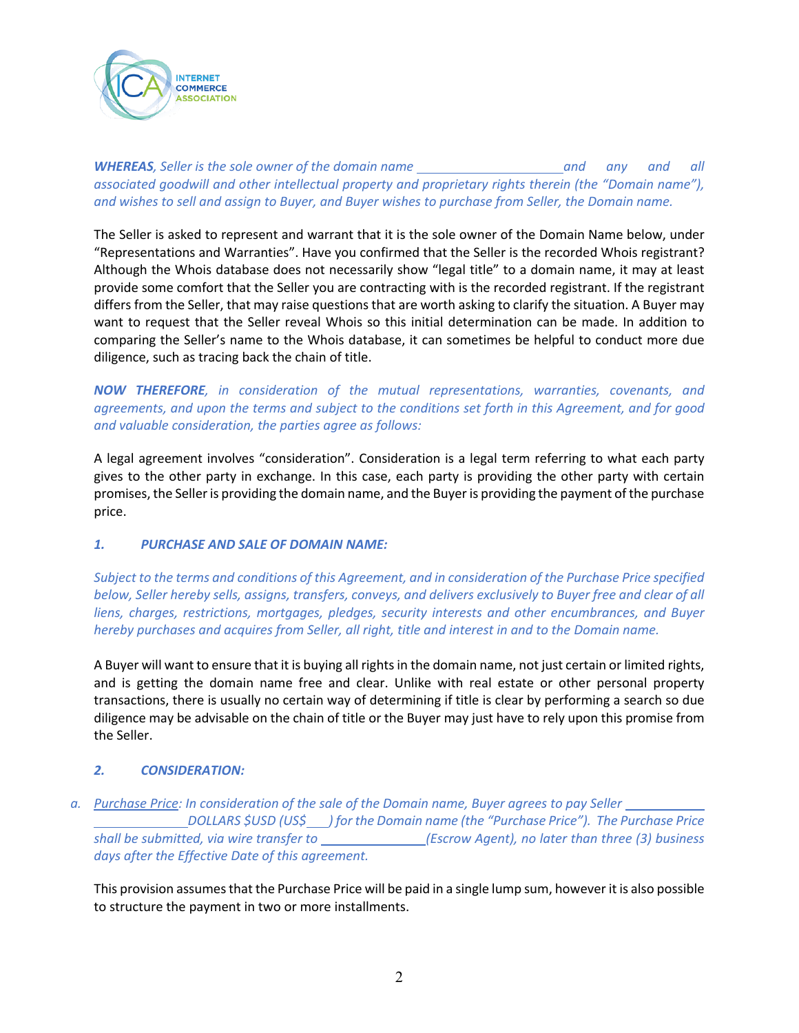

*WHEREAS, Seller is the sole owner of the domain name and any and all associated goodwill and other intellectual property and proprietary rights therein (the "Domain name"), and wishes to sell and assign to Buyer, and Buyer wishes to purchase from Seller, the Domain name.*

The Seller is asked to represent and warrant that it is the sole owner of the Domain Name below, under "Representations and Warranties". Have you confirmed that the Seller is the recorded Whois registrant? Although the Whois database does not necessarily show "legal title" to a domain name, it may at least provide some comfort that the Seller you are contracting with is the recorded registrant. If the registrant differs from the Seller, that may raise questions that are worth asking to clarify the situation. A Buyer may want to request that the Seller reveal Whois so this initial determination can be made. In addition to comparing the Seller's name to the Whois database, it can sometimes be helpful to conduct more due diligence, such as tracing back the chain of title.

*NOW THEREFORE, in consideration of the mutual representations, warranties, covenants, and agreements, and upon the terms and subject to the conditions set forth in this Agreement, and for good and valuable consideration, the parties agree as follows:*

A legal agreement involves "consideration". Consideration is a legal term referring to what each party gives to the other party in exchange. In this case, each party is providing the other party with certain promises, the Seller is providing the domain name, and the Buyer is providing the payment of the purchase price.

## *1. PURCHASE AND SALE OF DOMAIN NAME:*

*Subject to the terms and conditions of this Agreement, and in consideration of the Purchase Price specified below, Seller hereby sells, assigns, transfers, conveys, and delivers exclusively to Buyer free and clear of all liens, charges, restrictions, mortgages, pledges, security interests and other encumbrances, and Buyer hereby purchases and acquires from Seller, all right, title and interest in and to the Domain name.*

A Buyer will want to ensure that it is buying all rights in the domain name, not just certain or limited rights, and is getting the domain name free and clear. Unlike with real estate or other personal property transactions, there is usually no certain way of determining if title is clear by performing a search so due diligence may be advisable on the chain of title or the Buyer may just have to rely upon this promise from the Seller.

# *2. CONSIDERATION:*

*a. Purchase Price: In consideration of the sale of the Domain name, Buyer agrees to pay Seller* 

*DOLLARS \$USD (US\$ ) for the Domain name (the "Purchase Price"). The Purchase Price shall be submitted, via wire transfer to (Escrow Agent), no later than three (3) business days after the Effective Date of this agreement.*

This provision assumes that the Purchase Price will be paid in a single lump sum, however it is also possible to structure the payment in two or more installments.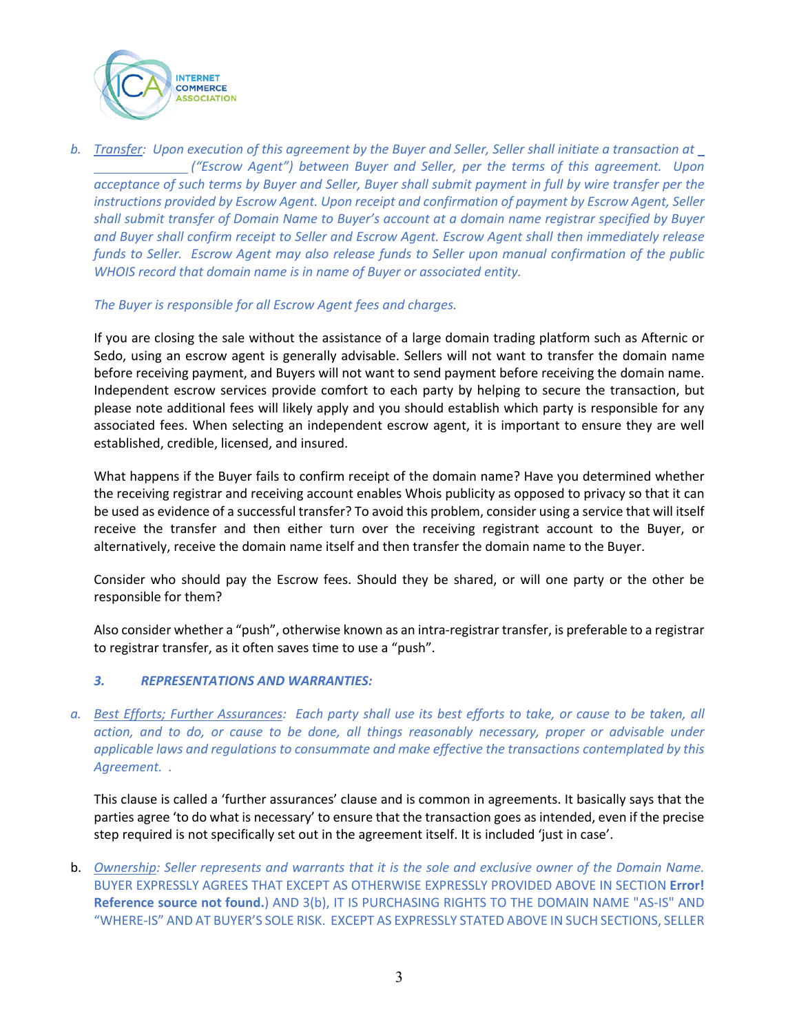

*b. Transfer: Upon execution of this agreement by the Buyer and Seller, Seller shall initiate a transaction at ("Escrow Agent") between Buyer and Seller, per the terms of this agreement. Upon acceptance of such terms by Buyer and Seller, Buyer shall submit payment in full by wire transfer per the instructions provided by Escrow Agent. Upon receipt and confirmation of payment by Escrow Agent, Seller shall submit transfer of Domain Name to Buyer's account at a domain name registrar specified by Buyer and Buyer shall confirm receipt to Seller and Escrow Agent. Escrow Agent shall then immediately release funds to Seller. Escrow Agent may also release funds to Seller upon manual confirmation of the public WHOIS record that domain name is in name of Buyer or associated entity.*

## *The Buyer is responsible for all Escrow Agent fees and charges.*

If you are closing the sale without the assistance of a large domain trading platform such as Afternic or Sedo, using an escrow agent is generally advisable. Sellers will not want to transfer the domain name before receiving payment, and Buyers will not want to send payment before receiving the domain name. Independent escrow services provide comfort to each party by helping to secure the transaction, but please note additional fees will likely apply and you should establish which party is responsible for any associated fees. When selecting an independent escrow agent, it is important to ensure they are well established, credible, licensed, and insured.

What happens if the Buyer fails to confirm receipt of the domain name? Have you determined whether the receiving registrar and receiving account enables Whois publicity as opposed to privacy so that it can be used as evidence of a successful transfer? To avoid this problem, consider using a service that will itself receive the transfer and then either turn over the receiving registrant account to the Buyer, or alternatively, receive the domain name itself and then transfer the domain name to the Buyer.

Consider who should pay the Escrow fees. Should they be shared, or will one party or the other be responsible for them?

Also consider whether a "push", otherwise known as an intra-registrar transfer, is preferable to a registrar to registrar transfer, as it often saves time to use a "push".

## *3. REPRESENTATIONS AND WARRANTIES:*

*a. Best Efforts; Further Assurances: Each party shall use its best efforts to take, or cause to be taken, all action, and to do, or cause to be done, all things reasonably necessary, proper or advisable under applicable laws and regulations to consummate and make effective the transactions contemplated by this Agreement. .*

This clause is called a 'further assurances' clause and is common in agreements. It basically says that the parties agree 'to do what is necessary' to ensure that the transaction goes as intended, even if the precise step required is not specifically set out in the agreement itself. It is included 'just in case'.

b. *Ownership: Seller represents and warrants that it is the sole and exclusive owner of the Domain Name.*  BUYER EXPRESSLY AGREES THAT EXCEPT AS OTHERWISE EXPRESSLY PROVIDED ABOVE IN SECTION **Error! Reference source not found.**) AND 3(b), IT IS PURCHASING RIGHTS TO THE DOMAIN NAME "AS-IS" AND "WHERE-IS" AND AT BUYER'S SOLE RISK. EXCEPT AS EXPRESSLY STATED ABOVE IN SUCH SECTIONS, SELLER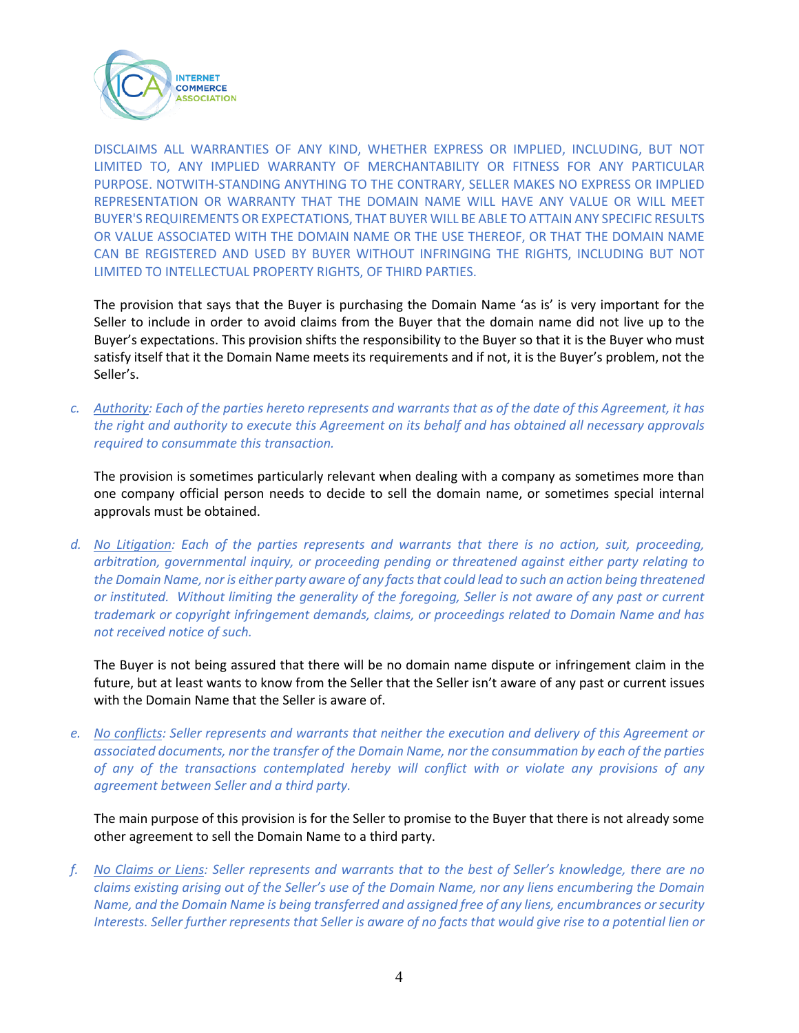

DISCLAIMS ALL WARRANTIES OF ANY KIND, WHETHER EXPRESS OR IMPLIED, INCLUDING, BUT NOT LIMITED TO, ANY IMPLIED WARRANTY OF MERCHANTABILITY OR FITNESS FOR ANY PARTICULAR PURPOSE. NOTWITH-STANDING ANYTHING TO THE CONTRARY, SELLER MAKES NO EXPRESS OR IMPLIED REPRESENTATION OR WARRANTY THAT THE DOMAIN NAME WILL HAVE ANY VALUE OR WILL MEET BUYER'S REQUIREMENTS OR EXPECTATIONS, THAT BUYER WILL BE ABLE TO ATTAIN ANY SPECIFIC RESULTS OR VALUE ASSOCIATED WITH THE DOMAIN NAME OR THE USE THEREOF, OR THAT THE DOMAIN NAME CAN BE REGISTERED AND USED BY BUYER WITHOUT INFRINGING THE RIGHTS, INCLUDING BUT NOT LIMITED TO INTELLECTUAL PROPERTY RIGHTS, OF THIRD PARTIES.

The provision that says that the Buyer is purchasing the Domain Name 'as is' is very important for the Seller to include in order to avoid claims from the Buyer that the domain name did not live up to the Buyer's expectations. This provision shifts the responsibility to the Buyer so that it is the Buyer who must satisfy itself that it the Domain Name meets its requirements and if not, it is the Buyer's problem, not the Seller's.

*c. Authority: Each of the parties hereto represents and warrants that as of the date of this Agreement, it has the right and authority to execute this Agreement on its behalf and has obtained all necessary approvals required to consummate this transaction.*

The provision is sometimes particularly relevant when dealing with a company as sometimes more than one company official person needs to decide to sell the domain name, or sometimes special internal approvals must be obtained.

*d. No Litigation: Each of the parties represents and warrants that there is no action, suit, proceeding, arbitration, governmental inquiry, or proceeding pending or threatened against either party relating to the Domain Name, nor is either party aware of any facts that could lead to such an action being threatened or instituted. Without limiting the generality of the foregoing, Seller is not aware of any past or current trademark or copyright infringement demands, claims, or proceedings related to Domain Name and has not received notice of such.*

The Buyer is not being assured that there will be no domain name dispute or infringement claim in the future, but at least wants to know from the Seller that the Seller isn't aware of any past or current issues with the Domain Name that the Seller is aware of.

*e. No conflicts: Seller represents and warrants that neither the execution and delivery of this Agreement or associated documents, nor the transfer of the Domain Name, nor the consummation by each of the parties of any of the transactions contemplated hereby will conflict with or violate any provisions of any agreement between Seller and a third party.*

The main purpose of this provision is for the Seller to promise to the Buyer that there is not already some other agreement to sell the Domain Name to a third party.

*f. No Claims or Liens: Seller represents and warrants that to the best of Seller's knowledge, there are no claims existing arising out of the Seller's use of the Domain Name, nor any liens encumbering the Domain Name, and the Domain Name is being transferred and assigned free of any liens, encumbrances or security Interests. Seller further represents that Seller is aware of no facts that would give rise to a potential lien or*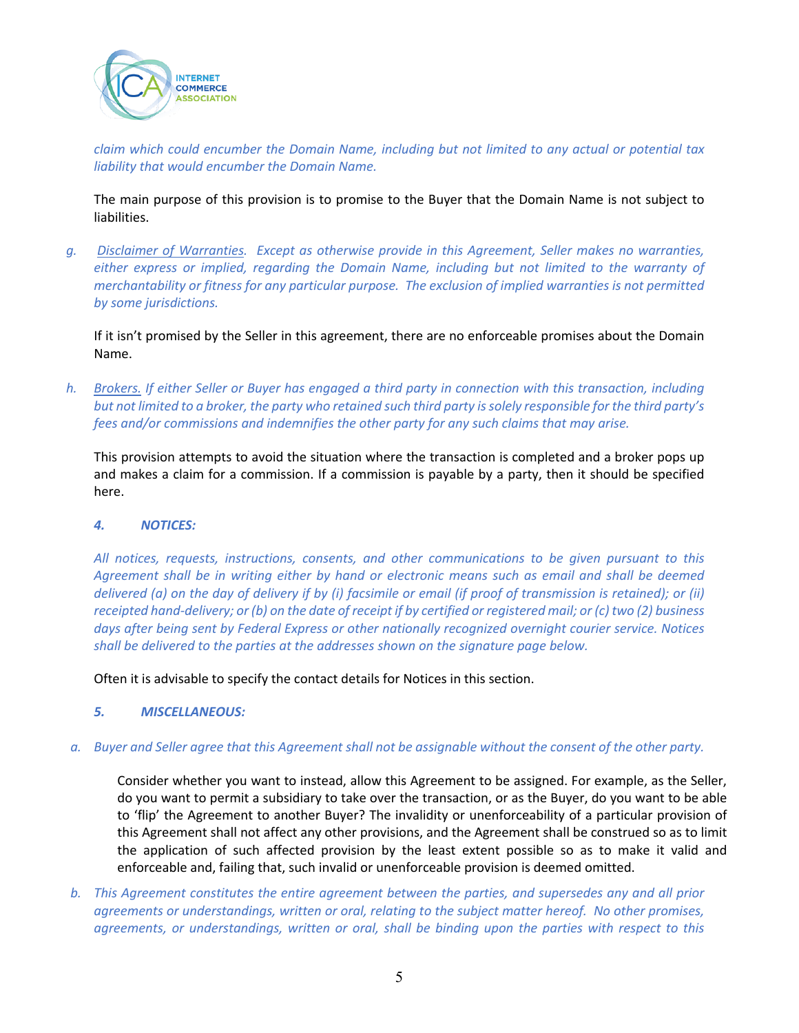

*claim which could encumber the Domain Name, including but not limited to any actual or potential tax liability that would encumber the Domain Name.*

The main purpose of this provision is to promise to the Buyer that the Domain Name is not subject to liabilities.

*g. Disclaimer of Warranties. Except as otherwise provide in this Agreement, Seller makes no warranties, either express or implied, regarding the Domain Name, including but not limited to the warranty of merchantability or fitness for any particular purpose. The exclusion of implied warranties is not permitted by some jurisdictions.* 

If it isn't promised by the Seller in this agreement, there are no enforceable promises about the Domain Name.

*h. Brokers. If either Seller or Buyer has engaged a third party in connection with this transaction, including but not limited to a broker, the party who retained such third party is solely responsible for the third party's fees and/or commissions and indemnifies the other party for any such claims that may arise.*

This provision attempts to avoid the situation where the transaction is completed and a broker pops up and makes a claim for a commission. If a commission is payable by a party, then it should be specified here.

### *4. NOTICES:*

*All notices, requests, instructions, consents, and other communications to be given pursuant to this Agreement shall be in writing either by hand or electronic means such as email and shall be deemed delivered (a) on the day of delivery if by (i) facsimile or email (if proof of transmission is retained); or (ii) receipted hand-delivery; or (b) on the date of receipt if by certified or registered mail; or (c) two (2) business days after being sent by Federal Express or other nationally recognized overnight courier service. Notices shall be delivered to the parties at the addresses shown on the signature page below.*

Often it is advisable to specify the contact details for Notices in this section.

## *5. MISCELLANEOUS:*

*a. Buyer and Seller agree that this Agreement shall not be assignable without the consent of the other party.*

Consider whether you want to instead, allow this Agreement to be assigned. For example, as the Seller, do you want to permit a subsidiary to take over the transaction, or as the Buyer, do you want to be able to 'flip' the Agreement to another Buyer? The invalidity or unenforceability of a particular provision of this Agreement shall not affect any other provisions, and the Agreement shall be construed so as to limit the application of such affected provision by the least extent possible so as to make it valid and enforceable and, failing that, such invalid or unenforceable provision is deemed omitted.

*b. This Agreement constitutes the entire agreement between the parties, and supersedes any and all prior agreements or understandings, written or oral, relating to the subject matter hereof. No other promises, agreements, or understandings, written or oral, shall be binding upon the parties with respect to this*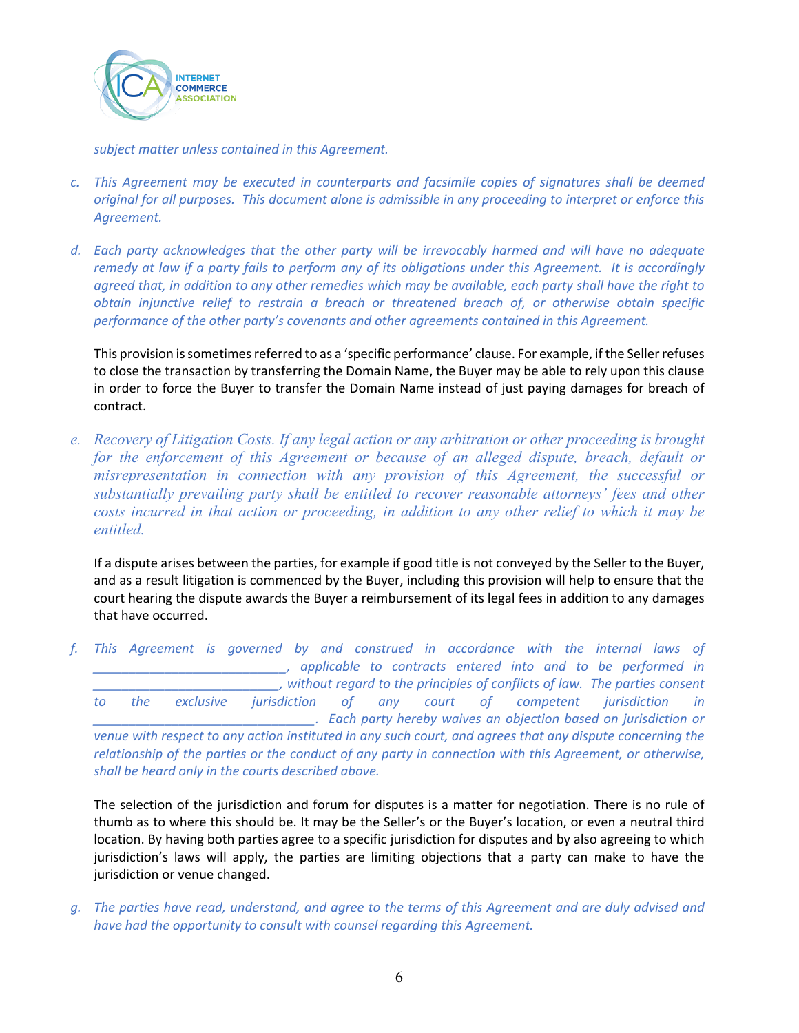

*subject matter unless contained in this Agreement.* 

- *c. This Agreement may be executed in counterparts and facsimile copies of signatures shall be deemed original for all purposes. This document alone is admissible in any proceeding to interpret or enforce this Agreement.*
- *d. Each party acknowledges that the other party will be irrevocably harmed and will have no adequate remedy at law if a party fails to perform any of its obligations under this Agreement. It is accordingly agreed that, in addition to any other remedies which may be available, each party shall have the right to obtain injunctive relief to restrain a breach or threatened breach of, or otherwise obtain specific performance of the other party's covenants and other agreements contained in this Agreement.*

This provision is sometimes referred to as a 'specific performance' clause. For example, if the Seller refuses to close the transaction by transferring the Domain Name, the Buyer may be able to rely upon this clause in order to force the Buyer to transfer the Domain Name instead of just paying damages for breach of contract.

*e. Recovery of Litigation Costs. If any legal action or any arbitration or other proceeding is brought for the enforcement of this Agreement or because of an alleged dispute, breach, default or misrepresentation in connection with any provision of this Agreement, the successful or substantially prevailing party shall be entitled to recover reasonable attorneys' fees and other costs incurred in that action or proceeding, in addition to any other relief to which it may be entitled.*

If a dispute arises between the parties, for example if good title is not conveyed by the Seller to the Buyer, and as a result litigation is commenced by the Buyer, including this provision will help to ensure that the court hearing the dispute awards the Buyer a reimbursement of its legal fees in addition to any damages that have occurred.

*f. This Agreement is governed by and construed in accordance with the internal laws of \_\_\_\_\_\_\_\_\_\_\_\_\_\_\_\_\_\_\_\_\_\_\_\_\_\_\_, applicable to contracts entered into and to be performed in \_\_\_\_\_\_\_\_\_\_\_\_\_\_\_\_\_\_\_\_\_\_\_\_\_\_, without regard to the principles of conflicts of law. The parties consent to the exclusive jurisdiction of any court of competent jurisdiction in \_\_\_\_\_\_\_\_\_\_\_\_\_\_\_\_\_\_\_\_\_\_\_\_\_\_\_\_\_\_\_. Each party hereby waives an objection based on jurisdiction or venue with respect to any action instituted in any such court, and agrees that any dispute concerning the relationship of the parties or the conduct of any party in connection with this Agreement, or otherwise, shall be heard only in the courts described above.*

The selection of the jurisdiction and forum for disputes is a matter for negotiation. There is no rule of thumb as to where this should be. It may be the Seller's or the Buyer's location, or even a neutral third location. By having both parties agree to a specific jurisdiction for disputes and by also agreeing to which jurisdiction's laws will apply, the parties are limiting objections that a party can make to have the jurisdiction or venue changed.

*g. The parties have read, understand, and agree to the terms of this Agreement and are duly advised and have had the opportunity to consult with counsel regarding this Agreement.*